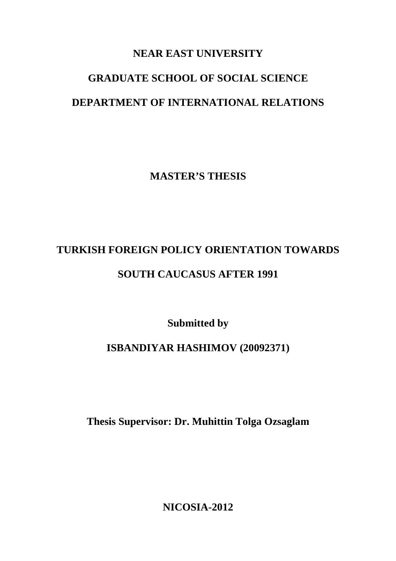### **NEAR EAST UNIVERSITY**

# **GRADUATE SCHOOL OF SOCIAL SCIENCE DEPARTMENT OF INTERNATIONAL RELATIONS**

**MASTER'S THESIS** 

# **TURKISH FOREIGN POLICY ORIENTATION TOWARDS**

## **SOUTH CAUCASUS AFTER 1991**

**Submitted by** 

# **ISBANDIYAR HASHIMOV (20092371)**

**Thesis Supervisor: Dr. Muhittin Tolga Ozsaglam** 

**NICOSIA-2012**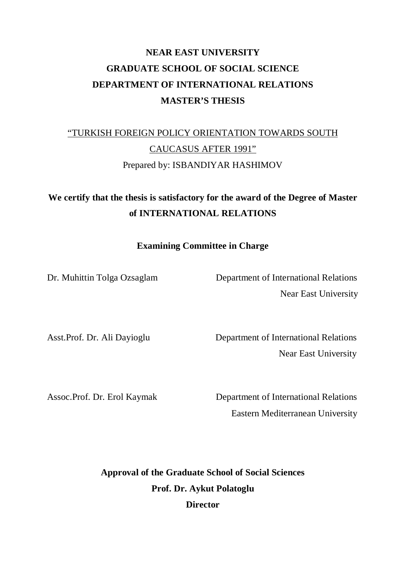# **NEAR EAST UNIVERSITY GRADUATE SCHOOL OF SOCIAL SCIENCE DEPARTMENT OF INTERNATIONAL RELATIONS MASTER'S THESIS**

# "TURKISH FOREIGN POLICY ORIENTATION TOWARDS SOUTH CAUCASUS AFTER 1991" Prepared by: ISBANDIYAR HASHIMOV

# **We certify that the thesis is satisfactory for the award of the Degree of Master of INTERNATIONAL RELATIONS**

**Examining Committee in Charge** 

Dr. Muhittin Tolga Ozsaglam Department of International Relations Near East University

Asst.Prof. Dr. Ali Dayioglu Department of International Relations Near East University

Assoc.Prof. Dr. Erol Kaymak Department of International Relations **Eastern Mediterranean University** 

> **Approval of the Graduate School of Social Sciences Prof. Dr. Aykut Polatoglu Director**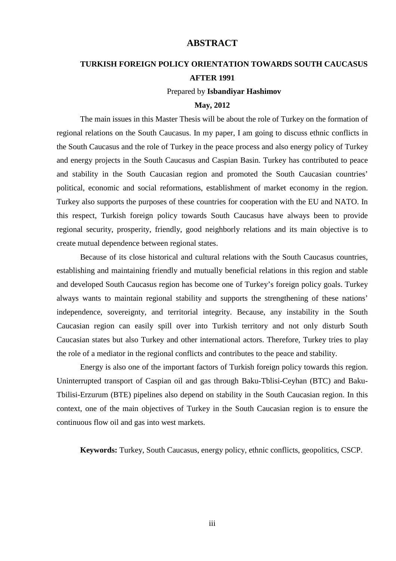#### **ABSTRACT**

#### **TURKISH FOREIGN POLICY ORIENTATION TOWARDS SOUTH CAUCASUS AFTER 1991**

#### Prepared by **Isbandiyar Hashimov**

#### **May, 2012**

The main issues in this Master Thesis will be about the role of Turkey on the formation of regional relations on the South Caucasus. In my paper, I am going to discuss ethnic conflicts in the South Caucasus and the role of Turkey in the peace process and also energy policy of Turkey and energy projects in the South Caucasus and Caspian Basin. Turkey has contributed to peace and stability in the South Caucasian region and promoted the South Caucasian countries' political, economic and social reformations, establishment of market economy in the region. Turkey also supports the purposes of these countries for cooperation with the EU and NATO. In this respect, Turkish foreign policy towards South Caucasus have always been to provide regional security, prosperity, friendly, good neighborly relations and its main objective is to create mutual dependence between regional states.

Because of its close historical and cultural relations with the South Caucasus countries, establishing and maintaining friendly and mutually beneficial relations in this region and stable and developed South Caucasus region has become one of Turkey's foreign policy goals. Turkey always wants to maintain regional stability and supports the strengthening of these nations' independence, sovereignty, and territorial integrity. Because, any instability in the South Caucasian region can easily spill over into Turkish territory and not only disturb South Caucasian states but also Turkey and other international actors. Therefore, Turkey tries to play the role of a mediator in the regional conflicts and contributes to the peace and stability.

Energy is also one of the important factors of Turkish foreign policy towards this region. Uninterrupted transport of Caspian oil and gas through Baku-Tblisi-Ceyhan (BTC) and Baku-Tbilisi-Erzurum (BTE) pipelines also depend on stability in the South Caucasian region. In this context, one of the main objectives of Turkey in the South Caucasian region is to ensure the continuous flow oil and gas into west markets.

**Keywords:** Turkey, South Caucasus, energy policy, ethnic conflicts, geopolitics, CSCP.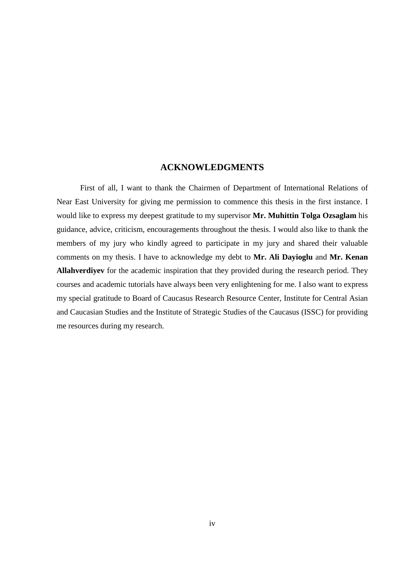#### **ACKNOWLEDGMENTS**

First of all, I want to thank the Chairmen of Department of International Relations of Near East University for giving me permission to commence this thesis in the first instance. I would like to express my deepest gratitude to my supervisor **Mr. Muhittin Tolga Ozsaglam** his guidance, advice, criticism, encouragements throughout the thesis. I would also like to thank the members of my jury who kindly agreed to participate in my jury and shared their valuable comments on my thesis. I have to acknowledge my debt to **Mr. Ali Dayioglu** and **Mr. Kenan Allahverdiyev** for the academic inspiration that they provided during the research period. They courses and academic tutorials have always been very enlightening for me. I also want to express my special gratitude to Board of Caucasus Research Resource Center, Institute for Central Asian and Caucasian Studies and the Institute of Strategic Studies of the Caucasus (ISSC) for providing me resources during my research.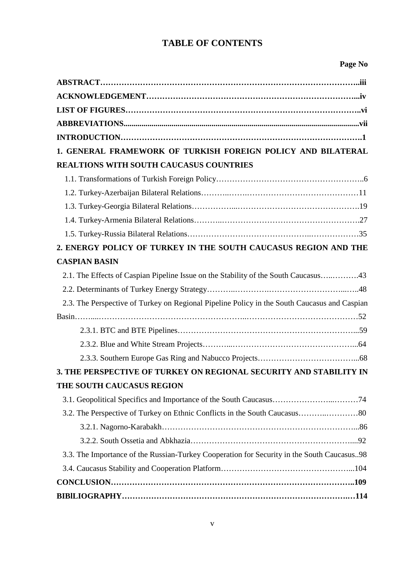## **TABLE OF CONTENTS**

#### **Page No**

| 1. GENERAL FRAMEWORK OF TURKISH FOREIGN POLICY AND BILATERAL                                 |  |
|----------------------------------------------------------------------------------------------|--|
| <b>REALTIONS WITH SOUTH CAUCASUS COUNTRIES</b>                                               |  |
|                                                                                              |  |
|                                                                                              |  |
|                                                                                              |  |
|                                                                                              |  |
|                                                                                              |  |
| 2. ENERGY POLICY OF TURKEY IN THE SOUTH CAUCASUS REGION AND THE                              |  |
| <b>CASPIAN BASIN</b>                                                                         |  |
| 2.1. The Effects of Caspian Pipeline Issue on the Stability of the South Caucasus43          |  |
|                                                                                              |  |
| 2.3. The Perspective of Turkey on Regional Pipeline Policy in the South Caucasus and Caspian |  |
|                                                                                              |  |
|                                                                                              |  |
|                                                                                              |  |
|                                                                                              |  |
| 3. THE PERSPECTIVE OF TURKEY ON REGIONAL SECURITY AND STABILITY IN                           |  |
| THE SOUTH CAUCASUS REGION                                                                    |  |
|                                                                                              |  |
| 3.2. The Perspective of Turkey on Ethnic Conflicts in the South Caucasus80                   |  |
|                                                                                              |  |
|                                                                                              |  |
| 3.3. The Importance of the Russian-Turkey Cooperation for Security in the South Caucasus98   |  |
|                                                                                              |  |
|                                                                                              |  |
|                                                                                              |  |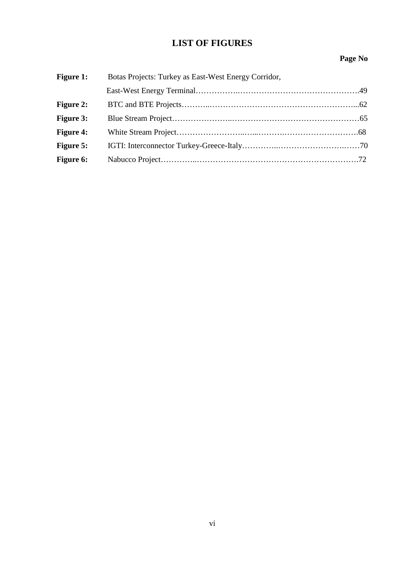## **LIST OF FIGURES**

#### **Page No**

| <b>Figure 1:</b> | Botas Projects: Turkey as East-West Energy Corridor, |  |
|------------------|------------------------------------------------------|--|
|                  |                                                      |  |
| <b>Figure 2:</b> |                                                      |  |
| <b>Figure 3:</b> |                                                      |  |
| <b>Figure 4:</b> |                                                      |  |
| <b>Figure 5:</b> |                                                      |  |
| <b>Figure 6:</b> |                                                      |  |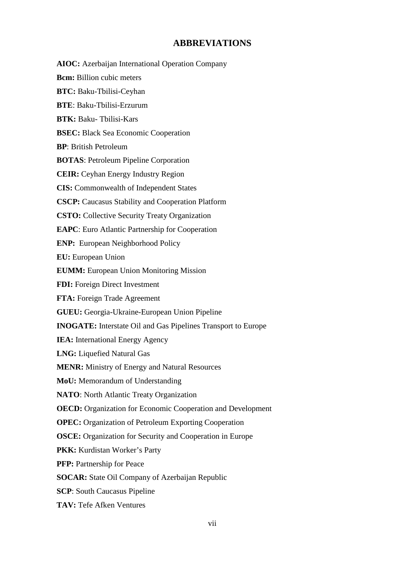#### **ABBREVIATIONS**

**AIOC:** Azerbaijan International Operation Company **Bcm:** Billion cubic meters **BTC:** Baku-Tbilisi-Ceyhan **BTE**: Baku-Tbilisi-Erzurum **BTK:** Baku- Tbilisi-Kars **BSEC:** Black Sea Economic Cooperation **BP**: British Petroleum **BOTAS**: Petroleum Pipeline Corporation **CEIR:** Ceyhan Energy Industry Region **CIS:** Commonwealth of Independent States **CSCP:** Caucasus Stability and Cooperation Platform **CSTO:** Collective Security Treaty Organization **EAPC**: Euro Atlantic Partnership for Cooperation **ENP:** European Neighborhood Policy **EU:** European Union **EUMM:** European Union Monitoring Mission **FDI:** Foreign Direct Investment **FTA:** Foreign Trade Agreement **GUEU:** Georgia-Ukraine-European Union Pipeline **INOGATE:** Interstate Oil and Gas Pipelines Transport to Europe **IEA:** International Energy Agency **LNG:** Liquefied Natural Gas **MENR:** Ministry of Energy and Natural Resources **MoU:** Memorandum of Understanding **NATO**: North Atlantic Treaty Organization **OECD:** Organization for Economic Cooperation and Development **OPEC:** Organization of Petroleum Exporting Cooperation **OSCE:** Organization for Security and Cooperation in Europe PKK: Kurdistan Worker's Party **PFP:** Partnership for Peace **SOCAR:** State Oil Company of Azerbaijan Republic **SCP**: South Caucasus Pipeline **TAV:** Tefe Afken Ventures